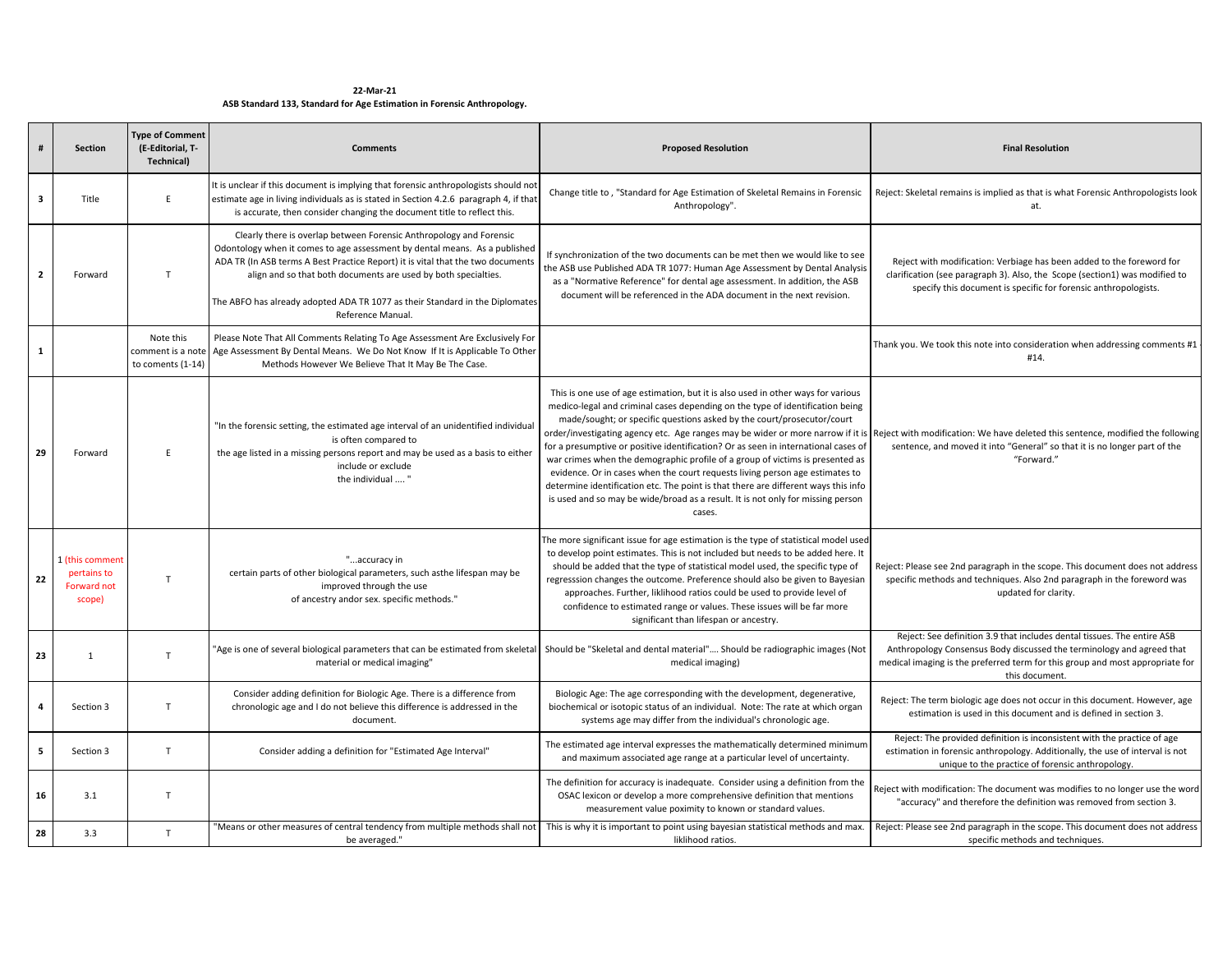**22‐Mar‐21ASB Standard 133, Standard for Age Estimation in Forensic Anthropology.**

| #                       | <b>Section</b>                                          | <b>Type of Comment</b><br>(E-Editorial, T-<br><b>Technical)</b> | <b>Comments</b>                                                                                                                                                                                                                                                                                                                                                                                             | <b>Proposed Resolution</b>                                                                                                                                                                                                                                                                                                                                                                                                                                                                                                                                                                                                                                                            | <b>Final Resolution</b>                                                                                                                                                                                                                                    |
|-------------------------|---------------------------------------------------------|-----------------------------------------------------------------|-------------------------------------------------------------------------------------------------------------------------------------------------------------------------------------------------------------------------------------------------------------------------------------------------------------------------------------------------------------------------------------------------------------|---------------------------------------------------------------------------------------------------------------------------------------------------------------------------------------------------------------------------------------------------------------------------------------------------------------------------------------------------------------------------------------------------------------------------------------------------------------------------------------------------------------------------------------------------------------------------------------------------------------------------------------------------------------------------------------|------------------------------------------------------------------------------------------------------------------------------------------------------------------------------------------------------------------------------------------------------------|
| $\overline{\mathbf{3}}$ | Title                                                   | E.                                                              | It is unclear if this document is implying that forensic anthropologists should not<br>estimate age in living individuals as is stated in Section 4.2.6 paragraph 4, if that<br>is accurate, then consider changing the document title to reflect this.                                                                                                                                                     | Change title to, "Standard for Age Estimation of Skeletal Remains in Forensic<br>Anthropology".                                                                                                                                                                                                                                                                                                                                                                                                                                                                                                                                                                                       | Reject: Skeletal remains is implied as that is what Forensic Anthropologists look<br>at.                                                                                                                                                                   |
| $\mathbf{2}$            | Forward                                                 | T                                                               | Clearly there is overlap between Forensic Anthropology and Forensic<br>Odontology when it comes to age assessment by dental means. As a published<br>ADA TR (In ASB terms A Best Practice Report) it is vital that the two documents<br>align and so that both documents are used by both specialties.<br>The ABFO has already adopted ADA TR 1077 as their Standard in the Diplomates<br>Reference Manual. | If synchronization of the two documents can be met then we would like to see<br>the ASB use Published ADA TR 1077: Human Age Assessment by Dental Analysis<br>as a "Normative Reference" for dental age assessment. In addition, the ASB<br>document will be referenced in the ADA document in the next revision.                                                                                                                                                                                                                                                                                                                                                                     | Reject with modification: Verbiage has been added to the foreword for<br>clarification (see paragraph 3). Also, the Scope (section1) was modified to<br>specify this document is specific for forensic anthropologists.                                    |
| $\mathbf{1}$            |                                                         | Note this<br>comment is a note<br>to coments (1-14)             | Please Note That All Comments Relating To Age Assessment Are Exclusively For<br>Age Assessment By Dental Means. We Do Not Know If It is Applicable To Other<br>Methods However We Believe That It May Be The Case.                                                                                                                                                                                          |                                                                                                                                                                                                                                                                                                                                                                                                                                                                                                                                                                                                                                                                                       | Thank you. We took this note into consideration when addressing comments #1<br>#14.                                                                                                                                                                        |
| 29                      | Forward                                                 | F                                                               | 'In the forensic setting, the estimated age interval of an unidentified individua<br>is often compared to<br>the age listed in a missing persons report and may be used as a basis to either<br>include or exclude<br>the individual  "                                                                                                                                                                     | This is one use of age estimation, but it is also used in other ways for various<br>medico-legal and criminal cases depending on the type of identification being<br>made/sought; or specific questions asked by the court/prosecutor/court<br>for a presumptive or positive identification? Or as seen in international cases of<br>war crimes when the demographic profile of a group of victims is presented as<br>evidence. Or in cases when the court requests living person age estimates to<br>determine identification etc. The point is that there are different ways this info<br>is used and so may be wide/broad as a result. It is not only for missing person<br>cases. | order/investigating agency etc. Age ranges may be wider or more narrow if it is Reject with modification: We have deleted this sentence, modified the following<br>sentence, and moved it into "General" so that it is no longer part of the<br>"Forward." |
| 22                      | 1 (this comment<br>pertains to<br>Forward not<br>scope) | T.                                                              | "accuracy in<br>certain parts of other biological parameters, such asthe lifespan may be<br>improved through the use<br>of ancestry andor sex. specific methods."                                                                                                                                                                                                                                           | The more significant issue for age estimation is the type of statistical model used<br>to develop point estimates. This is not included but needs to be added here. It<br>should be added that the type of statistical model used, the specific type of<br>regresssion changes the outcome. Preference should also be given to Bayesian<br>approaches. Further, liklihood ratios could be used to provide level of<br>confidence to estimated range or values. These issues will be far more<br>significant than lifespan or ancestry.                                                                                                                                                | Reject: Please see 2nd paragraph in the scope. This document does not address<br>specific methods and techniques. Also 2nd paragraph in the foreword was<br>updated for clarity.                                                                           |
| 23                      | 1                                                       | T                                                               | 'Age is one of several biological parameters that can be estimated from skeletal<br>material or medical imaging"                                                                                                                                                                                                                                                                                            | Should be "Skeletal and dental material" Should be radiographic images (Not<br>medical imaging)                                                                                                                                                                                                                                                                                                                                                                                                                                                                                                                                                                                       | Reject: See definition 3.9 that includes dental tissues. The entire ASB<br>Anthropology Consensus Body discussed the terminology and agreed that<br>medical imaging is the preferred term for this group and most appropriate for<br>this document.        |
| $\overline{4}$          | Section 3                                               | T                                                               | Consider adding definition for Biologic Age. There is a difference from<br>chronologic age and I do not believe this difference is addressed in the<br>document.                                                                                                                                                                                                                                            | Biologic Age: The age corresponding with the development, degenerative,<br>biochemical or isotopic status of an individual. Note: The rate at which organ<br>systems age may differ from the individual's chronologic age.                                                                                                                                                                                                                                                                                                                                                                                                                                                            | Reject: The term biologic age does not occur in this document. However, age<br>estimation is used in this document and is defined in section 3.                                                                                                            |
| 5                       | Section 3                                               | T                                                               | Consider adding a definition for "Estimated Age Interval"                                                                                                                                                                                                                                                                                                                                                   | The estimated age interval expresses the mathematically determined minimum<br>and maximum associated age range at a particular level of uncertainty.                                                                                                                                                                                                                                                                                                                                                                                                                                                                                                                                  | Reject: The provided definition is inconsistent with the practice of age<br>estimation in forensic anthropology. Additionally, the use of interval is not<br>unique to the practice of forensic anthropology.                                              |
| 16                      | 3.1                                                     | T                                                               |                                                                                                                                                                                                                                                                                                                                                                                                             | The definition for accuracy is inadequate. Consider using a definition from the<br>OSAC lexicon or develop a more comprehensive definition that mentions<br>measurement value poximity to known or standard values.                                                                                                                                                                                                                                                                                                                                                                                                                                                                   | Reject with modification: The document was modifies to no longer use the word<br>"accuracy" and therefore the definition was removed from section 3.                                                                                                       |
| 28                      | 3.3                                                     | T                                                               | 'Means or other measures of central tendency from multiple methods shall not<br>be averaged."                                                                                                                                                                                                                                                                                                               | This is why it is important to point using bayesian statistical methods and max.<br>liklihood ratios.                                                                                                                                                                                                                                                                                                                                                                                                                                                                                                                                                                                 | Reject: Please see 2nd paragraph in the scope. This document does not address<br>specific methods and techniques.                                                                                                                                          |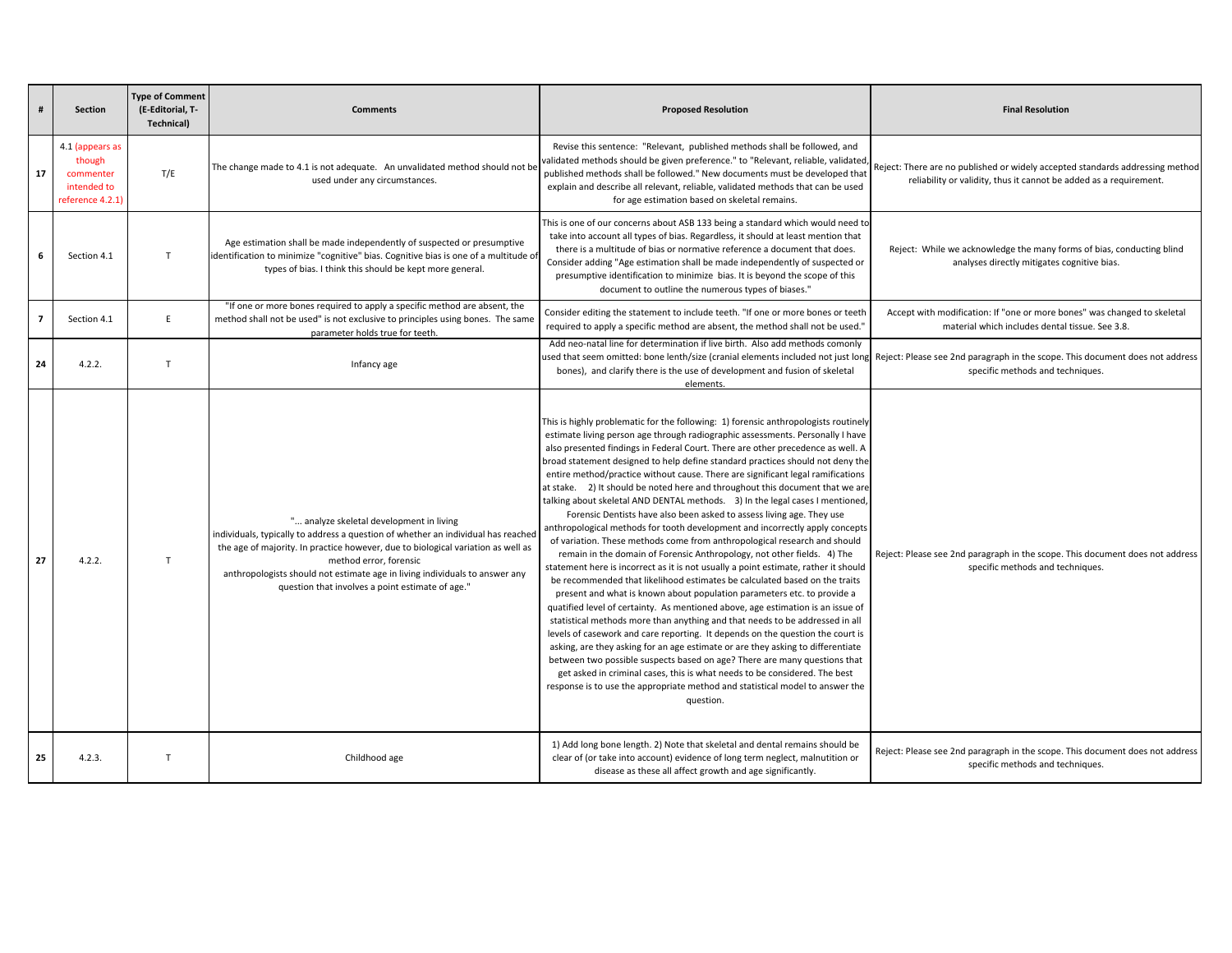| $\#$           | Section                                                                   | <b>Type of Comment</b><br>(E-Editorial, T-<br>Technical) | <b>Comments</b>                                                                                                                                                                                                                                                                                                                                                                | <b>Proposed Resolution</b>                                                                                                                                                                                                                                                                                                                                                                                                                                                                                                                                                                                                                                                                                                                                                                                                                                                                                                                                                                                                                                                                                                                                                                                                                                                                                                                                                                                                                                                                                                                                                                                                                                                                                                                                        | <b>Final Resolution</b>                                                                                                                             |
|----------------|---------------------------------------------------------------------------|----------------------------------------------------------|--------------------------------------------------------------------------------------------------------------------------------------------------------------------------------------------------------------------------------------------------------------------------------------------------------------------------------------------------------------------------------|-------------------------------------------------------------------------------------------------------------------------------------------------------------------------------------------------------------------------------------------------------------------------------------------------------------------------------------------------------------------------------------------------------------------------------------------------------------------------------------------------------------------------------------------------------------------------------------------------------------------------------------------------------------------------------------------------------------------------------------------------------------------------------------------------------------------------------------------------------------------------------------------------------------------------------------------------------------------------------------------------------------------------------------------------------------------------------------------------------------------------------------------------------------------------------------------------------------------------------------------------------------------------------------------------------------------------------------------------------------------------------------------------------------------------------------------------------------------------------------------------------------------------------------------------------------------------------------------------------------------------------------------------------------------------------------------------------------------------------------------------------------------|-----------------------------------------------------------------------------------------------------------------------------------------------------|
| 17             | 4.1 (appears as<br>though<br>commenter<br>intended to<br>reference 4.2.1) | T/E                                                      | The change made to 4.1 is not adequate. An unvalidated method should not be<br>used under any circumstances.                                                                                                                                                                                                                                                                   | Revise this sentence: "Relevant, published methods shall be followed, and<br>validated methods should be given preference." to "Relevant, reliable, validated,<br>published methods shall be followed." New documents must be developed that<br>explain and describe all relevant, reliable, validated methods that can be used<br>for age estimation based on skeletal remains.                                                                                                                                                                                                                                                                                                                                                                                                                                                                                                                                                                                                                                                                                                                                                                                                                                                                                                                                                                                                                                                                                                                                                                                                                                                                                                                                                                                  | Reject: There are no published or widely accepted standards addressing method<br>reliability or validity, thus it cannot be added as a requirement. |
| 6              | Section 4.1                                                               | T                                                        | Age estimation shall be made independently of suspected or presumptive<br>identification to minimize "cognitive" bias. Cognitive bias is one of a multitude of<br>types of bias. I think this should be kept more general.                                                                                                                                                     | This is one of our concerns about ASB 133 being a standard which would need to<br>take into account all types of bias. Regardless, it should at least mention that<br>there is a multitude of bias or normative reference a document that does.<br>Consider adding "Age estimation shall be made independently of suspected or<br>presumptive identification to minimize bias. It is beyond the scope of this<br>document to outline the numerous types of biases."                                                                                                                                                                                                                                                                                                                                                                                                                                                                                                                                                                                                                                                                                                                                                                                                                                                                                                                                                                                                                                                                                                                                                                                                                                                                                               | Reject: While we acknowledge the many forms of bias, conducting blind<br>analyses directly mitigates cognitive bias.                                |
| $\overline{7}$ | Section 4.1                                                               | E                                                        | "If one or more bones required to apply a specific method are absent, the<br>method shall not be used" is not exclusive to principles using bones. The same<br>parameter holds true for teeth.                                                                                                                                                                                 | Consider editing the statement to include teeth. "If one or more bones or teeth<br>required to apply a specific method are absent, the method shall not be used."                                                                                                                                                                                                                                                                                                                                                                                                                                                                                                                                                                                                                                                                                                                                                                                                                                                                                                                                                                                                                                                                                                                                                                                                                                                                                                                                                                                                                                                                                                                                                                                                 | Accept with modification: If "one or more bones" was changed to skeletal<br>material which includes dental tissue. See 3.8.                         |
| 24             | 4.2.2.                                                                    | T                                                        | Infancy age                                                                                                                                                                                                                                                                                                                                                                    | Add neo-natal line for determination if live birth. Also add methods comonly<br>used that seem omitted: bone lenth/size (cranial elements included not just long<br>bones), and clarify there is the use of development and fusion of skeletal<br>elements.                                                                                                                                                                                                                                                                                                                                                                                                                                                                                                                                                                                                                                                                                                                                                                                                                                                                                                                                                                                                                                                                                                                                                                                                                                                                                                                                                                                                                                                                                                       | Reject: Please see 2nd paragraph in the scope. This document does not address<br>specific methods and techniques.                                   |
| 27             | 4.2.2.                                                                    | $\mathsf{T}$                                             | " analyze skeletal development in living<br>individuals, typically to address a question of whether an individual has reached<br>the age of majority. In practice however, due to biological variation as well as<br>method error, forensic<br>anthropologists should not estimate age in living individuals to answer any<br>question that involves a point estimate of age." | This is highly problematic for the following: 1) forensic anthropologists routinely<br>estimate living person age through radiographic assessments. Personally I have<br>also presented findings in Federal Court. There are other precedence as well. A<br>broad statement designed to help define standard practices should not deny the<br>entire method/practice without cause. There are significant legal ramifications<br>at stake. 2) It should be noted here and throughout this document that we are<br>talking about skeletal AND DENTAL methods. 3) In the legal cases I mentioned,<br>Forensic Dentists have also been asked to assess living age. They use<br>anthropological methods for tooth development and incorrectly apply concepts<br>of variation. These methods come from anthropological research and should<br>remain in the domain of Forensic Anthropology, not other fields. 4) The<br>statement here is incorrect as it is not usually a point estimate, rather it should<br>be recommended that likelihood estimates be calculated based on the traits<br>present and what is known about population parameters etc. to provide a<br>quatified level of certainty. As mentioned above, age estimation is an issue of<br>statistical methods more than anything and that needs to be addressed in all<br>levels of casework and care reporting. It depends on the question the court is<br>asking, are they asking for an age estimate or are they asking to differentiate<br>between two possible suspects based on age? There are many questions that<br>get asked in criminal cases, this is what needs to be considered. The best<br>response is to use the appropriate method and statistical model to answer the<br>question. | Reject: Please see 2nd paragraph in the scope. This document does not address<br>specific methods and techniques.                                   |
| 25             | 4.2.3.                                                                    | $\mathsf{T}$                                             | Childhood age                                                                                                                                                                                                                                                                                                                                                                  | 1) Add long bone length. 2) Note that skeletal and dental remains should be<br>clear of (or take into account) evidence of long term neglect, malnutition or<br>disease as these all affect growth and age significantly.                                                                                                                                                                                                                                                                                                                                                                                                                                                                                                                                                                                                                                                                                                                                                                                                                                                                                                                                                                                                                                                                                                                                                                                                                                                                                                                                                                                                                                                                                                                                         | Reject: Please see 2nd paragraph in the scope. This document does not address<br>specific methods and techniques.                                   |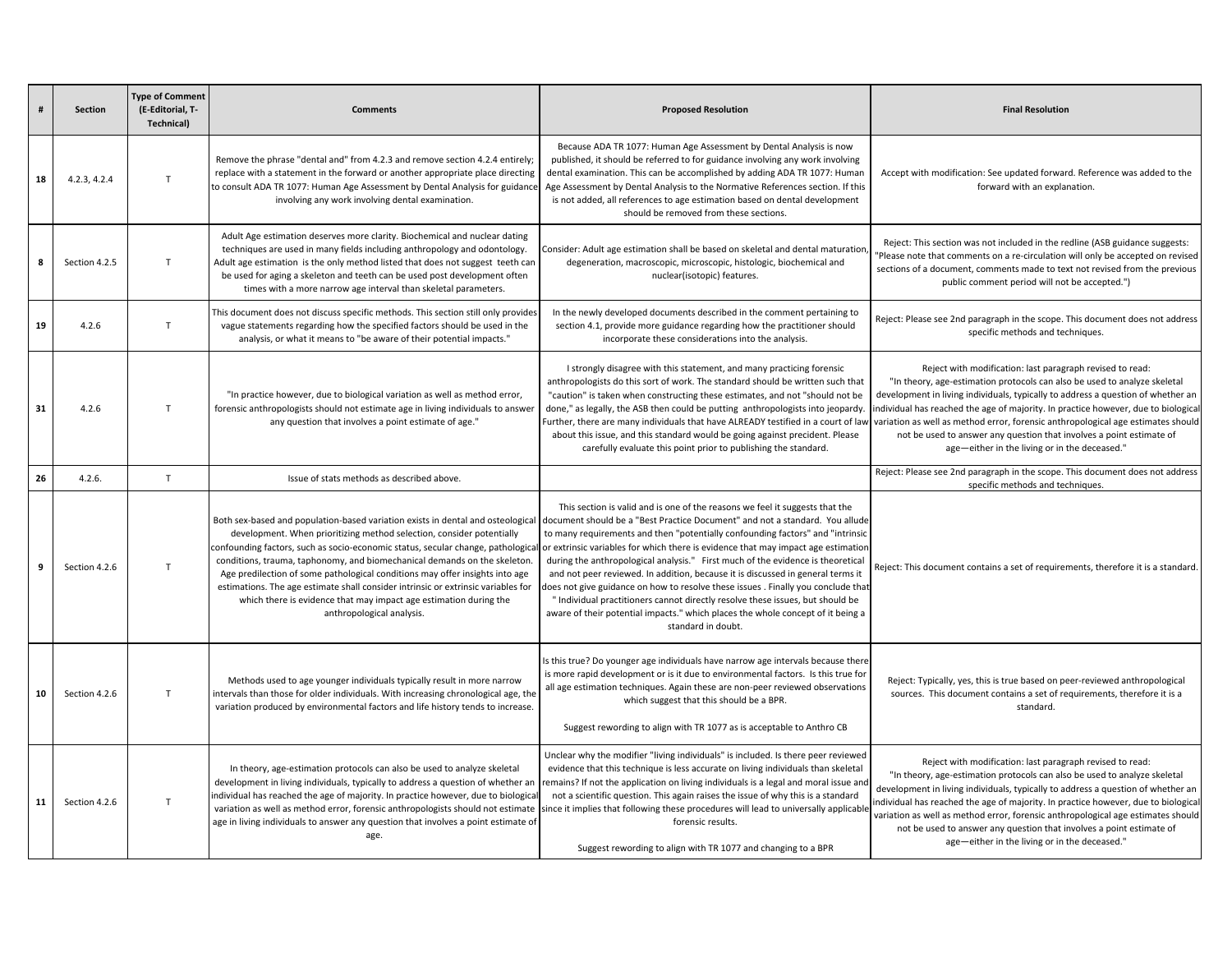|    | <b>Section</b> | <b>Type of Comment</b><br>(E-Editorial, T-<br>Technical) | <b>Comments</b>                                                                                                                                                                                                                                                                                                                                                                                                                                                                                                                                                                                  | <b>Proposed Resolution</b>                                                                                                                                                                                                                                                                                                                                                                                                                                                                                                                                                                                                                                                                                                                                                                | <b>Final Resolution</b>                                                                                                                                                                                                                                                                                                                                                                                                                                                                                                       |
|----|----------------|----------------------------------------------------------|--------------------------------------------------------------------------------------------------------------------------------------------------------------------------------------------------------------------------------------------------------------------------------------------------------------------------------------------------------------------------------------------------------------------------------------------------------------------------------------------------------------------------------------------------------------------------------------------------|-------------------------------------------------------------------------------------------------------------------------------------------------------------------------------------------------------------------------------------------------------------------------------------------------------------------------------------------------------------------------------------------------------------------------------------------------------------------------------------------------------------------------------------------------------------------------------------------------------------------------------------------------------------------------------------------------------------------------------------------------------------------------------------------|-------------------------------------------------------------------------------------------------------------------------------------------------------------------------------------------------------------------------------------------------------------------------------------------------------------------------------------------------------------------------------------------------------------------------------------------------------------------------------------------------------------------------------|
| 18 | 4.2.3, 4.2.4   | $\mathsf{T}$                                             | Remove the phrase "dental and" from 4.2.3 and remove section 4.2.4 entirely;<br>replace with a statement in the forward or another appropriate place directing<br>to consult ADA TR 1077: Human Age Assessment by Dental Analysis for guidance<br>involving any work involving dental examination.                                                                                                                                                                                                                                                                                               | Because ADA TR 1077: Human Age Assessment by Dental Analysis is now<br>published, it should be referred to for guidance involving any work involving<br>dental examination. This can be accomplished by adding ADA TR 1077: Human<br>Age Assessment by Dental Analysis to the Normative References section. If this<br>is not added, all references to age estimation based on dental development<br>should be removed from these sections.                                                                                                                                                                                                                                                                                                                                               | Accept with modification: See updated forward. Reference was added to the<br>forward with an explanation.                                                                                                                                                                                                                                                                                                                                                                                                                     |
| 8  | Section 4.2.5  | T                                                        | Adult Age estimation deserves more clarity. Biochemical and nuclear dating<br>techniques are used in many fields including anthropology and odontology.<br>Adult age estimation is the only method listed that does not suggest teeth can<br>be used for aging a skeleton and teeth can be used post development often<br>times with a more narrow age interval than skeletal parameters.                                                                                                                                                                                                        | Consider: Adult age estimation shall be based on skeletal and dental maturation<br>degeneration, macroscopic, microscopic, histologic, biochemical and<br>nuclear(isotopic) features.                                                                                                                                                                                                                                                                                                                                                                                                                                                                                                                                                                                                     | Reject: This section was not included in the redline (ASB guidance suggests:<br>"Please note that comments on a re-circulation will only be accepted on revised<br>sections of a document, comments made to text not revised from the previous<br>public comment period will not be accepted.")                                                                                                                                                                                                                               |
| 19 | 4.2.6          | $\mathsf{T}$                                             | This document does not discuss specific methods. This section still only provides<br>vague statements regarding how the specified factors should be used in the<br>analysis, or what it means to "be aware of their potential impacts."                                                                                                                                                                                                                                                                                                                                                          | In the newly developed documents described in the comment pertaining to<br>section 4.1, provide more guidance regarding how the practitioner should<br>incorporate these considerations into the analysis.                                                                                                                                                                                                                                                                                                                                                                                                                                                                                                                                                                                | Reject: Please see 2nd paragraph in the scope. This document does not address<br>specific methods and techniques.                                                                                                                                                                                                                                                                                                                                                                                                             |
| 31 | 4.2.6          | $\mathsf{T}$                                             | "In practice however, due to biological variation as well as method error,<br>forensic anthropologists should not estimate age in living individuals to answer<br>any question that involves a point estimate of age."                                                                                                                                                                                                                                                                                                                                                                           | I strongly disagree with this statement, and many practicing forensic<br>anthropologists do this sort of work. The standard should be written such that<br>"caution" is taken when constructing these estimates, and not "should not be<br>done," as legally, the ASB then could be putting anthropologists into jeopardy.<br>Further, there are many individuals that have ALREADY testified in a court of law<br>about this issue, and this standard would be going against precident. Please<br>carefully evaluate this point prior to publishing the standard.                                                                                                                                                                                                                        | Reject with modification: last paragraph revised to read:<br>"In theory, age-estimation protocols can also be used to analyze skeletal<br>development in living individuals, typically to address a question of whether an<br>individual has reached the age of majority. In practice however, due to biological<br>variation as well as method error, forensic anthropological age estimates should<br>not be used to answer any question that involves a point estimate of<br>age-either in the living or in the deceased." |
| 26 | 4.2.6          | $\mathsf{T}$                                             | Issue of stats methods as described above.                                                                                                                                                                                                                                                                                                                                                                                                                                                                                                                                                       |                                                                                                                                                                                                                                                                                                                                                                                                                                                                                                                                                                                                                                                                                                                                                                                           | Reject: Please see 2nd paragraph in the scope. This document does not address<br>specific methods and techniques.                                                                                                                                                                                                                                                                                                                                                                                                             |
| 9  | Section 4.2.6  | $\mathsf{T}$                                             | Both sex-based and population-based variation exists in dental and osteological<br>development. When prioritizing method selection, consider potentially<br>confounding factors, such as socio-economic status, secular change, pathological<br>conditions, trauma, taphonomy, and biomechanical demands on the skeleton.<br>Age predilection of some pathological conditions may offer insights into age<br>estimations. The age estimate shall consider intrinsic or extrinsic variables for<br>which there is evidence that may impact age estimation during the<br>anthropological analysis. | This section is valid and is one of the reasons we feel it suggests that the<br>document should be a "Best Practice Document" and not a standard. You allude<br>to many requirements and then "potentially confounding factors" and "intrinsic<br>or extrinsic variables for which there is evidence that may impact age estimation<br>during the anthropological analysis." First much of the evidence is theoretical<br>and not peer reviewed. In addition, because it is discussed in general terms it<br>does not give guidance on how to resolve these issues . Finally you conclude that<br>" Individual practitioners cannot directly resolve these issues, but should be<br>aware of their potential impacts." which places the whole concept of it being a<br>standard in doubt. | Reject: This document contains a set of requirements, therefore it is a standard.                                                                                                                                                                                                                                                                                                                                                                                                                                             |
| 10 | Section 4.2.6  | $\mathsf{T}$                                             | Methods used to age younger individuals typically result in more narrow<br>intervals than those for older individuals. With increasing chronological age, the<br>variation produced by environmental factors and life history tends to increase.                                                                                                                                                                                                                                                                                                                                                 | Is this true? Do younger age individuals have narrow age intervals because there<br>is more rapid development or is it due to environmental factors. Is this true for<br>all age estimation techniques. Again these are non-peer reviewed observations<br>which suggest that this should be a BPR.<br>Suggest rewording to align with TR 1077 as is acceptable to Anthro CB                                                                                                                                                                                                                                                                                                                                                                                                               | Reject: Typically, yes, this is true based on peer-reviewed anthropological<br>sources. This document contains a set of requirements, therefore it is a<br>standard.                                                                                                                                                                                                                                                                                                                                                          |
| 11 | Section 4.2.6  | T                                                        | In theory, age-estimation protocols can also be used to analyze skeletal<br>development in living individuals, typically to address a question of whether an<br>individual has reached the age of majority. In practice however, due to biologica<br>variation as well as method error, forensic anthropologists should not estimate<br>age in living individuals to answer any question that involves a point estimate of<br>age.                                                                                                                                                               | Unclear why the modifier "living individuals" is included. Is there peer reviewed<br>evidence that this technique is less accurate on living individuals than skeletal<br>remains? If not the application on living individuals is a legal and moral issue and<br>not a scientific question. This again raises the issue of why this is a standard<br>since it implies that following these procedures will lead to universally applicable<br>forensic results.<br>Suggest rewording to align with TR 1077 and changing to a BPR                                                                                                                                                                                                                                                          | Reject with modification: last paragraph revised to read:<br>"In theory, age-estimation protocols can also be used to analyze skeletal<br>development in living individuals, typically to address a question of whether an<br>individual has reached the age of majority. In practice however, due to biological<br>variation as well as method error, forensic anthropological age estimates should<br>not be used to answer any question that involves a point estimate of<br>age-either in the living or in the deceased." |